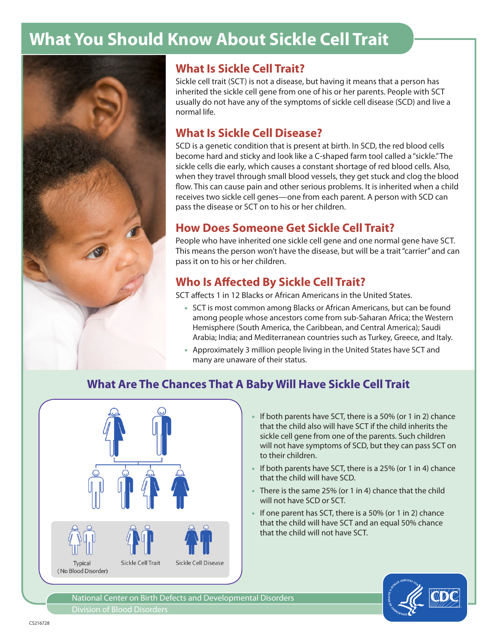# **What You Should Know About Sickle Cell Trait**



#### **What Is Sickle Cell Trait?**

Sickle cell trait (SCT) is not a disease, but having it means that a person has inherited the sickle cell gene from one of his or her parents. People with SCT usually do not have any of the symptoms of sickle cell disease (SCD) and live a normal life.

## **What Is Sickle Cell Disease?**

SCD is a genetic condition that is present at birth. In SCD, the red blood cells become hard and sticky and look like a C-shaped farm tool called a "sickle." The sickle cells die early, which causes a constant shortage of red blood cells. Also, when they travel through small blood vessels, they get stuck and clog the blood flow. This can cause pain and other serious problems. It is inherited when a child receives two sickle cell genes—one from each parent. A person with SCD can pass the disease or SCT on to his or her children.

### **How Does Someone Get Sickle Cell Trait?**

People who have inherited one sickle cell gene and one normal gene have SCT. This means the person won't have the disease, but will be a trait "carrier" and can pass it on to his or her children.

## **Who Is Affected By Sickle Cell Trait?**

SCT affects 1 in 12 Blacks or African Americans in the United States.

- SCT is most common among Blacks or African Americans, but can be found among people whose ancestors come from sub-Saharan Africa; the Western Hemisphere (South America, the Caribbean, and Central America); Saudi Arabia; India; and Mediterranean countries such as Turkey, Greece, and Italy.
- Approximately 3 million people living in the United States have SCT and many are unaware of their status.

# **What Are The Chances That A Baby Will Have Sickle Cell Trait**



- If both parents have SCT, there is a 50% (or 1 in 2) chance that the child also will have SCT if the child inherits the sickle cell gene from one of the parents. Such children will not have symptoms of SCD, but they can pass SCT on to their children.
- If both parents have SCT, there is a 25% (or 1 in 4) chance that the child will have SCD.
- There is the same 25% (or 1 in 4) chance that the child will not have SCD or SCT.
- If one parent has SCT, there is a 50% (or 1 in 2) chance that the child will have SCT and an equal 50% chance that the child will not have SCT.



National Center on Birth Defects and Developmental Disorders Division of Blood Disorders